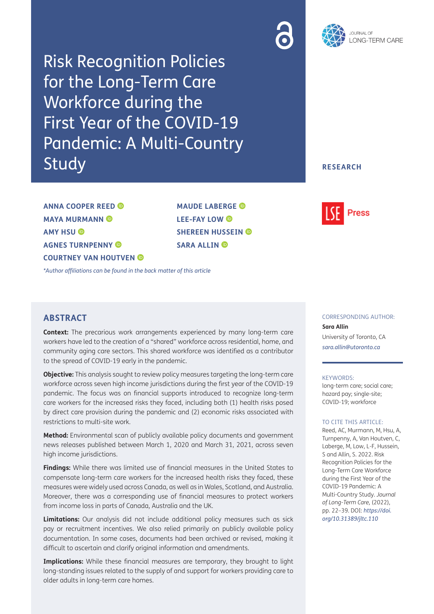



Risk Recognition Policies for the Long-Term Care Workforce during the First Year of the COVID-19 Pandemic: A Multi-Country Study

### **RESEARCH**

**ANNA COOPER REED MAYA MURMANN AMY HSU AGNES TURNPENNY COURTNEY VAN HOUTVEN**  **MAUDE LABERGE LEE-FAY LOW SHEREEN HUSSEIN © SARA ALLIN ®** 



*\*Author affiliations can be found in the back matter of this article*

# **ABSTRACT**

**Context:** The precarious work arrangements experienced by many long-term care workers have led to the creation of a "shared" workforce across residential, home, and community aging care sectors. This shared workforce was identified as a contributor to the spread of COVID-19 early in the pandemic.

**Objective:** This analysis sought to review policy measures targeting the long-term care workforce across seven high income jurisdictions during the first year of the COVID-19 pandemic. The focus was on financial supports introduced to recognize long-term care workers for the increased risks they faced, including both (1) health risks posed by direct care provision during the pandemic and (2) economic risks associated with restrictions to multi-site work.

**Method:** Environmental scan of publicly available policy documents and government news releases published between March 1, 2020 and March 31, 2021, across seven high income jurisdictions.

**Findings:** While there was limited use of financial measures in the United States to compensate long-term care workers for the increased health risks they faced, these measures were widely used across Canada, as well as in Wales, Scotland, and Australia. Moreover, there was a corresponding use of financial measures to protect workers from income loss in parts of Canada, Australia and the UK.

**Limitations:** Our analysis did not include additional policy measures such as sick pay or recruitment incentives. We also relied primarily on publicly available policy documentation. In some cases, documents had been archived or revised, making it difficult to ascertain and clarify original information and amendments.

**Implications:** While these financial measures are temporary, they brought to light long-standing issues related to the supply of and support for workers providing care to older adults in long-term care homes.

#### CORRESPONDING AUTHOR:

**Sara Allin** University of Toronto, CA *sara.allin@utoronto.ca*

#### KEYWORDS:

long-term care; social care; hazard pay; single-site; COVID-19; workforce

#### TO CITE THIS ARTICLE:

Reed, AC, Murmann, M, Hsu, A, Turnpenny, A, Van Houtven, C, Laberge, M, Low, L-F, Hussein, S and Allin, S. 2022. Risk Recognition Policies for the Long-Term Care Workforce during the First Year of the COVID-19 Pandemic: A Multi-Country Study. *Journal of Long-Term Care,* (2022), pp. 22–39. DOI: *https://doi. org/10.31389/jltc.110*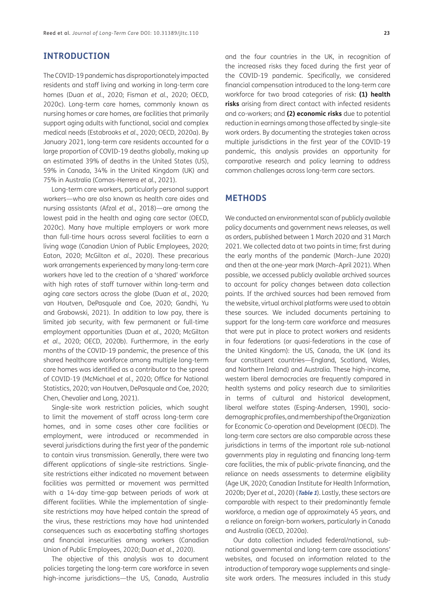## **INTRODUCTION**

The COVID-19 pandemic has disproportionately impacted residents and staff living and working in long-term care homes (Duan *et al.*, 2020; Fisman *et al.*, 2020; OECD, 2020c). Long-term care homes, commonly known as nursing homes or care homes, are facilities that primarily support aging adults with functional, social and complex medical needs (Estabrooks *et al.*, 2020; OECD, 2020a). By January 2021, long-term care residents accounted for a large proportion of COVID-19 deaths globally, making up an estimated 39% of deaths in the United States (US), 59% in Canada, 34% in the United Kingdom (UK) and 75% in Australia (Comas-Herrera *et al.*, 2021).

Long-term care workers, particularly personal support workers—who are also known as health care aides and nursing assistants (Afzal *et al.*, 2018)—are among the lowest paid in the health and aging care sector (OECD, 2020c). Many have multiple employers or work more than full-time hours across several facilities to earn a living wage (Canadian Union of Public Employees, 2020; Eaton, 2020; McGilton *et al.*, 2020). These precarious work arrangements experienced by many long-term care workers have led to the creation of a 'shared' workforce with high rates of staff turnover within long-term and aging care sectors across the globe (Duan *et al.*, 2020; van Houtven, DePasquale and Coe, 2020; Gandhi, Yu and Grabowski, 2021). In addition to low pay, there is limited job security, with few permanent or full-time employment opportunities (Duan *et al.*, 2020; McGilton *et al.*, 2020; OECD, 2020b). Furthermore, in the early months of the COVID-19 pandemic, the presence of this shared healthcare workforce among multiple long-term care homes was identified as a contributor to the spread of COVID-19 (McMichael *et al.*, 2020; Office for National Statistics, 2020; van Houtven, DePasquale and Coe, 2020; Chen, Chevalier and Long, 2021).

Single-site work restriction policies, which sought to limit the movement of staff across long-term care homes, and in some cases other care facilities or employment, were introduced or recommended in several jurisdictions during the first year of the pandemic to contain virus transmission. Generally, there were two different applications of single-site restrictions. Singlesite restrictions either indicated no movement between facilities was permitted or movement was permitted with a 14-day time-gap between periods of work at different facilities. While the implementation of singlesite restrictions may have helped contain the spread of the virus, these restrictions may have had unintended consequences such as exacerbating staffing shortages and financial insecurities among workers (Canadian Union of Public Employees, 2020; Duan *et al.*, 2020).

The objective of this analysis was to document policies targeting the long-term care workforce in seven high-income jurisdictions—the US, Canada, Australia

and the four countries in the UK, in recognition of the increased risks they faced during the first year of the COVID-19 pandemic. Specifically, we considered financial compensation introduced to the long-term care workforce for two broad categories of risk: **(1) health risks** arising from direct contact with infected residents and co-workers; and **(2) economic risks** due to potential reduction in earnings among those affected by single-site work orders. By documenting the strategies taken across multiple jurisdictions in the first year of the COVID-19 pandemic, this analysis provides an opportunity for comparative research and policy learning to address common challenges across long-term care sectors.

### **METHODS**

We conducted an environmental scan of publicly available policy documents and government news releases, as well as orders, published between 1 March 2020 and 31 March 2021. We collected data at two points in time; first during the early months of the pandemic (March–June 2020) and then at the one-year mark (March–April 2021). When possible, we accessed publicly available archived sources to account for policy changes between data collection points. If the archived sources had been removed from the website, virtual archival platforms were used to obtain these sources. We included documents pertaining to support for the long-term care workforce and measures that were put in place to protect workers and residents in four federations (or quasi-federations in the case of the United Kingdom): the US, Canada, the UK (and its four constituent countries—England, Scotland, Wales, and Northern Ireland) and Australia. These high-income, western liberal democracies are frequently compared in health systems and policy research due to similarities in terms of cultural and historical development, liberal welfare states (Esping-Andersen, 1990), sociodemographic profiles, and membership of the Organization for Economic Co-operation and Development (OECD). The long-term care sectors are also comparable across these jurisdictions in terms of the important role sub-national governments play in regulating and financing long-term care facilities, the mix of public-private financing, and the reliance on needs assessments to determine eligibility (Age UK, 2020; Canadian Institute for Health Information, 2020b; Dyer *et al.*, 2020) (**Table 1**). Lastly, these sectors are comparable with respect to their predominantly female workforce, a median age of approximately 45 years, and a reliance on foreign-born workers, particularly in Canada and Australia (OECD, 2020a).

Our data collection included federal/national, subnational governmental and long-term care associations' websites, and focused on information related to the introduction of temporary wage supplements and singlesite work orders. The measures included in this study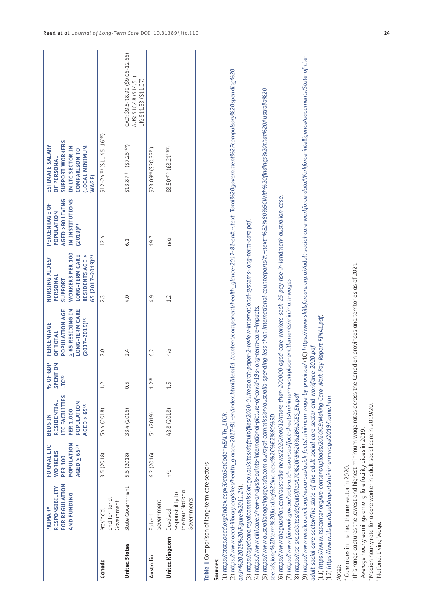|                      | FOR REGULATION<br>RESPONSIBILITY<br><b>AND FUNDING</b><br>PRIMARY                                             | POPULATION<br>FORMAL LTC<br>$AGED \geq 65^{(1)}$<br><b>WORKERS</b><br><b>PER 100</b> | LTC FACILITIES<br>RESIDENTIAL<br>POPULATION<br>$AGED \geq 65^{(1)}$<br><b>PER 1,000</b><br><b>BEDSIN</b> | GDP<br>SPENT ON<br>% OF<br>$LTC^{(2)}$ | POPULATION AGE<br>$\geq$ 65 RESIDING IN<br><b>LONG-TERM CARE</b><br>$(2017 - 2019)^{(3)}$<br>PERCENTAGE<br><b>OF TOTAL</b> | <b>WORKERS PER 100</b><br><b>LONG-TERM CARE</b><br>65 (2017-2019) <sup>(4)</sup><br>RESIDENTS AGE ><br>NURSING AIDES/<br>PERSONAL<br>SUPPORT | AGED 280 LIVING<br>IN INSTITUTIONS<br>PERCENTAGE OF<br>POPULATION<br>$(2019)^{(5)}$ | SUPPORT WORKERS<br>ESTIMATE SALARY<br><b>(LOCAL MINIMUM</b><br>IN LTC SECTOR IN<br>COMPARISON TO<br>OF PERSONAL<br>WAGE)                                                           |                                                                                                                                                                                                     |
|----------------------|---------------------------------------------------------------------------------------------------------------|--------------------------------------------------------------------------------------|----------------------------------------------------------------------------------------------------------|----------------------------------------|----------------------------------------------------------------------------------------------------------------------------|----------------------------------------------------------------------------------------------------------------------------------------------|-------------------------------------------------------------------------------------|------------------------------------------------------------------------------------------------------------------------------------------------------------------------------------|-----------------------------------------------------------------------------------------------------------------------------------------------------------------------------------------------------|
| Canada               | and Territorial<br>Government<br>Provincial                                                                   | 3.5 (2018)                                                                           | 54.4 (2018)                                                                                              | 1.2                                    | 7.0                                                                                                                        | 2.3                                                                                                                                          | 12.4                                                                                | \$12-24"8 (\$11.45-16"9)                                                                                                                                                           |                                                                                                                                                                                                     |
| <b>United States</b> | State Government                                                                                              | 5.5 (2018)                                                                           | 33.4 (2016)                                                                                              | 0.5                                    | 2.4                                                                                                                        | 4.0                                                                                                                                          | 6.1                                                                                 | $$13.87^{+0.11}(57.25^{0.12)}$$                                                                                                                                                    | CAD: \$9.5-18.99 (\$9.06-12.66)<br>AUS: \$16.48 (\$14.51)<br>UK: \$11.33 (\$11.07)                                                                                                                  |
| Australia            | Government<br>Federal                                                                                         | 6.2 (2016)                                                                           | 51 (2019)                                                                                                | $1.2^{(3)}$                            | 6.2                                                                                                                        | 4.9                                                                                                                                          | 19.7                                                                                | \$23.09(6) (\$20.33(7))                                                                                                                                                            |                                                                                                                                                                                                     |
| United Kingdom       | the four National<br>responsibility to<br>Governments<br>Devolved                                             | n/a                                                                                  | 43.8 (2018)                                                                                              | 1.5                                    | n/a                                                                                                                        | 1.2                                                                                                                                          | $\frac{1}{2}$                                                                       | £8.50 <sup>^(10</sup> ) (£8.21 <sup>°(10)</sup> )                                                                                                                                  |                                                                                                                                                                                                     |
|                      | Table 1 Comparison of long-term care sectors.                                                                 |                                                                                      |                                                                                                          |                                        |                                                                                                                            |                                                                                                                                              |                                                                                     |                                                                                                                                                                                    |                                                                                                                                                                                                     |
| Sources:             | (1) https://stats.oecd.org/Index.aspx?DataSetCode=HEALTH_LTCR.                                                |                                                                                      |                                                                                                          |                                        |                                                                                                                            |                                                                                                                                              |                                                                                     |                                                                                                                                                                                    |                                                                                                                                                                                                     |
|                      | on, in%202015%20(Figure%2011.24).                                                                             |                                                                                      |                                                                                                          |                                        |                                                                                                                            |                                                                                                                                              |                                                                                     | (2) https://www.oecd-library.org/sites/health_glance-2017-81-en/index.html?itemId=/content/component/health_glance-2017-81-en#:~:text=Total%20government%2Fompulsory%20spending%20 |                                                                                                                                                                                                     |
|                      | (4) https://www.cihi.ca/en/new-analysis-paints-international-picture-of-covid-19                              |                                                                                      |                                                                                                          |                                        | Is-long-term-care-impacts.                                                                                                 | (3) https://agedcare.royalcommission.gov.au/sites/default/files/2020-01/research-paper-2-review-international-systems-long-term-care.pdf.    |                                                                                     | l5) https://www.australianageingagenda.com.au/royal-commission/australia-spending-less-than-international-counterparts/#:~:text=%E2%80%9CWith%20findings%20that%20Australia%20     |                                                                                                                                                                                                     |
|                      | spends,long%2Dterm%20funding%20increase%2C%E2%80%9D                                                           |                                                                                      |                                                                                                          |                                        |                                                                                                                            | (6) https://www.thequardian.com/australia-news/2020/nov/12/more-than-200000-aqed-care-workers-seek-25-pay-rise-in-landmark-australian-case.  |                                                                                     |                                                                                                                                                                                    |                                                                                                                                                                                                     |
|                      | (7) https://www.fairwork.gov.au/tools-and-resources/fact-sheets/minimum-workplace-entitlements/minimum-wages. |                                                                                      |                                                                                                          |                                        |                                                                                                                            |                                                                                                                                              |                                                                                     |                                                                                                                                                                                    |                                                                                                                                                                                                     |
|                      | (8) https://rsc-src.ca/sites/default/files/LTC%20PB%20%2B%20ES_EN.pdf.                                        |                                                                                      |                                                                                                          |                                        |                                                                                                                            |                                                                                                                                              |                                                                                     |                                                                                                                                                                                    | https://www.retailcouncil.org/resources/quick-facts/minimum-wage-by-province/ (10) https://www.skillsforcare.org.uk/adult-social-care-workforce-data/Workforce-intelligence/documents/State-of-the- |

adult-social-care-sector/The-state-of-the-adult-social-care-sector-and-workforce-2020.pdf. *adult-social-care-sector/The-state-of-the-adult-social-care-sector-and-workforce-2020.pdf*.

(11) https://www.ltsscenter.org/wp-content/uploads/2020/09/Making-Care-Work-Pay-Report-FINAL.pdf. (11) *https://www.ltsscenter.org/wp-content/uploads/2020/09/Making-Care-Work-Pay-Report-FINAL.pdf*.

(12) https://www.bls.gov/opub/reports/minimum-wage/2019/home.htm. (12) *https://www.bls.gov/opub/reports/minimum-wage/2019/home.htm*.

*Notes*:

\* Care aides in the healthcare sector in 2020. \* Care aides in the healthcare sector in 2020.

This range captures the lowest and highest minimum wage rates across the Canadian provinces and territories as of 2021. ˆ This range captures the lowest and highest minimum wage rates across the Canadian provinces and territories as of 2021.

\* Average hourly earnings among fare facility aides in 2019. + Average hourly earnings among fare facility aides in 2019.

"Median hourly rate for a care worker in adult social care in 2019/20. ^ Median hourly rate for a care worker in adult social care in 2019/20.

"National Living Wage. ª National Living Wage.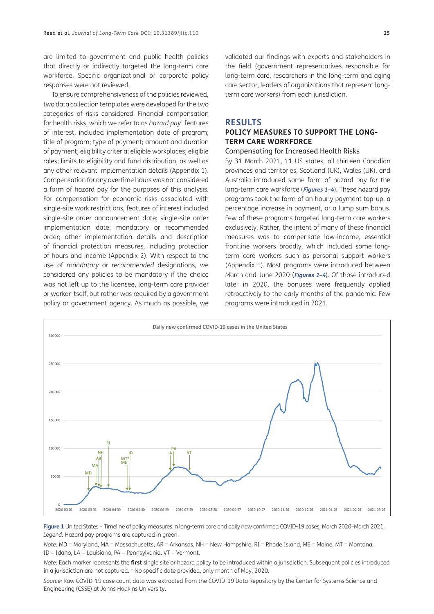are limited to government and public health policies that directly or indirectly targeted the long-term care workforce. Specific organizational or corporate policy responses were not reviewed.

To ensure comprehensiveness of the policies reviewed, two data collection templates were developed for the two categories of risks considered. Financial compensation for health risks, which we refer to as *hazard pay*1 features of interest, included implementation date of program; title of program; type of payment; amount and duration of payment; eligibility criteria; eligible workplaces; eligible roles; limits to eligibility and fund distribution, as well as any other relevant implementation details (Appendix 1). Compensation for any overtime hours was not considered a form of hazard pay for the purposes of this analysis. For compensation for economic risks associated with single-site work restrictions, features of interest included single-site order announcement date; single-site order implementation date; mandatory or recommended order; other implementation details and description of financial protection measures, including protection of hours and income (Appendix 2). With respect to the use of *mandatory* or *recommended* designations, we considered any policies to be mandatory if the choice was not left up to the licensee, long-term care provider or worker itself, but rather was required by a government policy or government agency. As much as possible, we validated our findings with experts and stakeholders in the field (government representatives responsible for long-term care, researchers in the long-term and aging care sector, leaders of organizations that represent longterm care workers) from each jurisdiction.

### **RESULTS**

# **POLICY MEASURES TO SUPPORT THE LONG-TERM CARE WORKFORCE**

#### Compensating for Increased Health Risks

By 31 March 2021, 11 US states, all thirteen Canadian provinces and territories, Scotland (UK), Wales (UK), and Australia introduced some form of hazard pay for the long-term care workforce (**Figures 1–4**). These hazard pay programs took the form of an hourly payment top-up, a percentage increase in payment, or a lump sum bonus. Few of these programs targeted long-term care workers exclusively. Rather, the intent of many of these financial measures was to compensate low-income, essential frontline workers broadly, which included some longterm care workers such as personal support workers (Appendix 1). Most programs were introduced between March and June 2020 (**Figures 1–4**). Of those introduced later in 2020, the bonuses were frequently applied retroactively to the early months of the pandemic. Few programs were introduced in 2021.



**Figure 1** United States – Timeline of policy measures in long-term care and daily new confirmed COVID-19 cases, March 2020–March 2021. *Legend:* Hazard pay programs are captured in green.

*Note:* MD = Maryland, MA = Massachusetts, AR = Arkansas, NH = New Hampshire, RI = Rhode Island, ME = Maine, MT = Montana, ID = Idaho, LA = Louisiana, PA = Pennsylvania, VT = Vermont.

*Note:* Each marker represents the **first** single site or hazard policy to be introduced within a jurisdiction. Subsequent policies introduced in a jurisdiction are not captured. \* No specific date provided, only month of May, 2020.

*Source:* Raw COVID-19 case count data was extracted from the COVID-19 Data Repository by the Center for Systems Science and Engineering (CSSE) at Johns Hopkins University.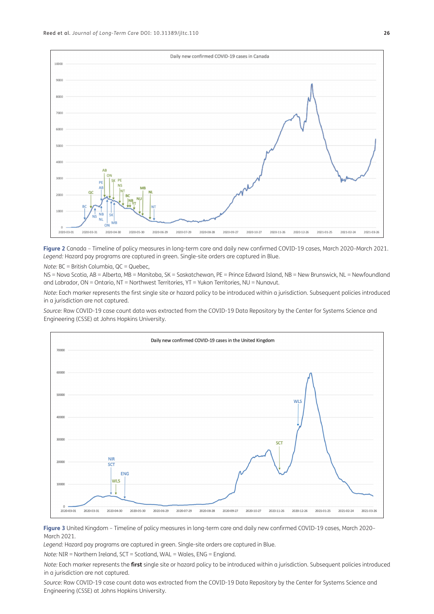

**Figure 2** Canada – Timeline of policy measures in long-term care and daily new confirmed COVID-19 cases, March 2020–March 2021. *Legend:* Hazard pay programs are captured in green. Single-site orders are captured in Blue.

*Note:* BC = British Columbia, QC = Quebec,

NS = Nova Scotia, AB = Alberta, MB = Manitoba, SK = Saskatchewan, PE = Prince Edward Island, NB = New Brunswick, NL = Newfoundland and Labrador, ON = Ontario, NT = Northwest Territories, YT = Yukon Territories, NU = Nunavut.

*Note*: Each marker represents the first single site or hazard policy to be introduced within a jurisdiction. Subsequent policies introduced in a jurisdiction are not captured.

*Source:* Raw COVID-19 case count data was extracted from the COVID-19 Data Repository by the Center for Systems Science and Engineering (CSSE) at Johns Hopkins University.



**Figure 3** United Kingdom – Timeline of policy measures in long-term care and daily new confirmed COVID-19 cases, March 2020– March 2021.

*Legend:* Hazard pay programs are captured in green. Single-site orders are captured in Blue.

*Note:* NIR = Northern Ireland, SCT = Scotland, WAL = Wales, ENG = England.

*Note:* Each marker represents the **first** single site or hazard policy to be introduced within a jurisdiction. Subsequent policies introduced in a jurisdiction are not captured.

*Source:* Raw COVID-19 case count data was extracted from the COVID-19 Data Repository by the Center for Systems Science and Engineering (CSSE) at Johns Hopkins University.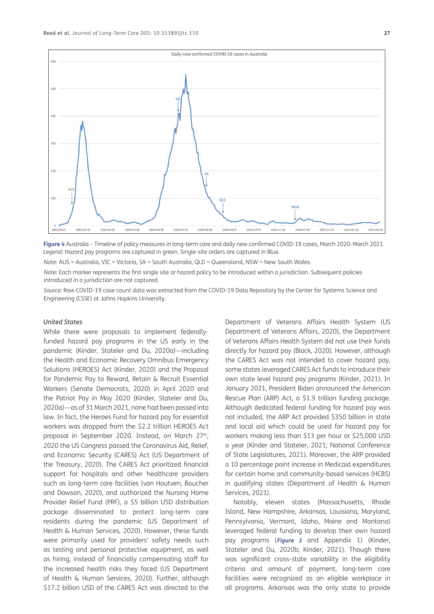

**Figure 4** Australia – Timeline of policy measures in long-term care and daily new confirmed COVID-19 cases, March 2020–March 2021. *Legend:* Hazard pay programs are captured in green. Single-site orders are captured in Blue.

*Note:* AUS = Australia, VIC = Victoria, SA = South Australia, QLD = Queensland, NSW = New South Wales.

*Note:* Each marker represents the first single site or hazard policy to be introduced within a jurisdiction. Subsequent policies introduced in a jurisdiction are not captured.

*Source:* Raw COVID-19 case count data was extracted from the COVID-19 Data Repository by the Center for Systems Science and Engineering (CSSE) at Johns Hopkins University.

### *United States*

While there were proposals to implement federallyfunded hazard pay programs in the US early in the pandemic (Kinder, Stateler and Du, 2020a)—including the Health and Economic Recovery Omnibus Emergency Solutions (HEROES) Act (Kinder, 2020) and the Proposal for Pandemic Pay to Reward, Retain & Recruit Essential Workers (Senate Democrats, 2020) in April 2020 and the Patriot Pay in May 2020 (Kinder, Stateler and Du, 2020a)—as of 31 March 2021, none had been passed into law. In fact, the Heroes Fund for hazard pay for essential workers was dropped from the \$2.2 trillion HEROES Act proposal in September 2020. Instead, on March 27<sup>th</sup>, 2020 the US Congress passed the Coronavirus Aid, Relief, and Economic Security (CARES) Act (US Department of the Treasury, 2020). The CARES Act prioritized financial support for hospitals and other healthcare providers such as long-term care facilities (van Houtven, Boucher and Dawson, 2020), and authorized the Nursing Home Provider Relief Fund (PRF), a \$5 billion USD distribution package disseminated to protect long-term care residents during the pandemic (US Department of Health & Human Services, 2020). However, these funds were primarily used for providers' safety needs such as testing and personal protective equipment, as well as hiring, instead of financially compensating staff for the increased health risks they faced (US Department of Health & Human Services, 2020). Further, although \$17.2 billion USD of the CARES Act was directed to the

Department of Veterans Affairs Health System (US Department of Veterans Affairs, 2020), the Department of Veterans Affairs Health System did not use their funds directly for hazard pay (Block, 2020). However, although the CARES Act was not intended to cover hazard pay, some states leveraged CARES Act funds to introduce their own state level hazard pay programs (Kinder, 2021). In January 2021, President Biden announced the American Rescue Plan (ARP) Act, a \$1.9 trillion funding package. Although dedicated federal funding for hazard pay was not included, the ARP Act provided \$350 billion in state and local aid which could be used for hazard pay for workers making less than \$13 per hour or \$25,000 USD a year (Kinder and Stateler, 2021; National Conference of State Legislatures, 2021). Moreover, the ARP provided a 10 percentage point increase in Medicaid expenditures for certain home and community-based services (HCBS) in qualifying states (Department of Health & Human Services, 2021).

Notably, eleven states (Massachusetts, Rhode Island, New Hampshire, Arkansas, Louisiana, Maryland, Pennsylvania, Vermont, Idaho, Maine and Montana) leveraged federal funding to develop their own hazard pay programs (**Figure 1** and Appendix 1) (Kinder, Stateler and Du, 2020b; Kinder, 2021). Though there was significant cross-state variability in the eligibility criteria and amount of payment, long-term care facilities were recognized as an eligible workplace in all programs. Arkansas was the only state to provide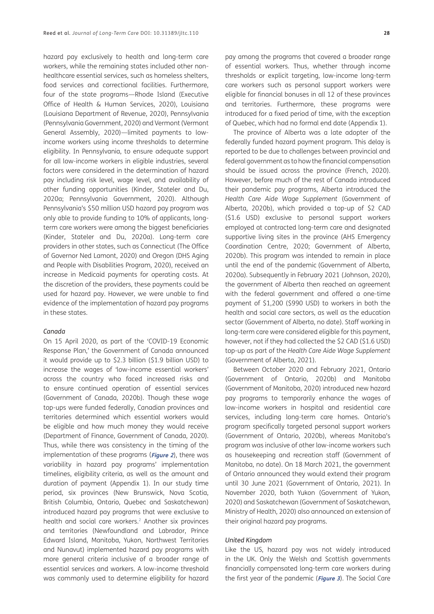hazard pay exclusively to health and long-term care workers, while the remaining states included other nonhealthcare essential services, such as homeless shelters, food services and correctional facilities. Furthermore, four of the state programs—Rhode Island (Executive Office of Health & Human Services, 2020), Louisiana (Louisiana Department of Revenue, 2020), Pennsylvania (Pennsylvania Government, 2020) and Vermont (Vermont General Assembly, 2020)—limited payments to lowincome workers using income thresholds to determine eligibility. In Pennsylvania, to ensure adequate support for all low-income workers in eligible industries, several factors were considered in the determination of hazard pay including risk level, wage level, and availability of other funding opportunities (Kinder, Stateler and Du, 2020a; Pennsylvania Government, 2020). Although Pennsylvania's \$50 million USD hazard pay program was only able to provide funding to 10% of applicants, longterm care workers were among the biggest beneficiaries (Kinder, Stateler and Du, 2020a). Long-term care providers in other states, such as Connecticut (The Office of Governor Ned Lamont, 2020) and Oregon (DHS Aging and People with Disabilities Program, 2020), received an increase in Medicaid payments for operating costs. At the discretion of the providers, these payments could be used for hazard pay. However, we were unable to find evidence of the implementation of hazard pay programs in these states.

### *Canada*

On 15 April 2020, as part of the 'COVID-19 Economic Response Plan,' the Government of Canada announced it would provide up to \$2.3 billion (\$1.9 billion USD) to increase the wages of 'low-income essential workers' across the country who faced increased risks and to ensure continued operation of essential services (Government of Canada, 2020b). Though these wage top-ups were funded federally, Canadian provinces and territories determined which essential workers would be eligible and how much money they would receive (Department of Finance, Government of Canada, 2020). Thus, while there was consistency in the timing of the implementation of these programs (**Figure 2**), there was variability in hazard pay programs' implementation timelines, eligibility criteria, as well as the amount and duration of payment (Appendix 1). In our study time period, six provinces (New Brunswick, Nova Scotia, British Columbia, Ontario, Quebec and Saskatchewan) introduced hazard pay programs that were exclusive to health and social care workers.<sup>2</sup> Another six provinces and territories (Newfoundland and Labrador, Prince Edward Island, Manitoba, Yukon, Northwest Territories and Nunavut) implemented hazard pay programs with more general criteria inclusive of a broader range of essential services and workers. A low-income threshold was commonly used to determine eligibility for hazard

pay among the programs that covered a broader range of essential workers. Thus, whether through income thresholds or explicit targeting, low-income long-term care workers such as personal support workers were eligible for financial bonuses in all 12 of these provinces and territories. Furthermore, these programs were introduced for a fixed period of time, with the exception of Quebec, which had no formal end date (Appendix 1).

The province of Alberta was a late adopter of the federally funded hazard payment program. This delay is reported to be due to challenges between provincial and federal government as to how the financial compensation should be issued across the province (French, 2020). However, before much of the rest of Canada introduced their pandemic pay programs, Alberta introduced the *Health Care Aide Wage Supplement* (Government of Alberta, 2020b), which provided a top-up of \$2 CAD (\$1.6 USD) exclusive to personal support workers employed at contracted long-term care and designated supportive living sites in the province (AHS Emergency Coordination Centre, 2020; Government of Alberta, 2020b). This program was intended to remain in place until the end of the pandemic (Government of Alberta, 2020a). Subsequently in February 2021 (Johnson, 2020), the government of Alberta then reached an agreement with the federal government and offered a one-time payment of \$1,200 (\$990 USD) to workers in both the health and social care sectors, as well as the education sector (Government of Alberta, no date). Staff working in long-term care were considered eligible for this payment, however, not if they had collected the \$2 CAD (\$1.6 USD) top-up as part of the *Health Care Aide Wage Supplement*  (Government of Alberta, 2021).

Between October 2020 and February 2021, Ontario (Government of Ontario, 2020b) and Manitoba (Government of Manitoba, 2020) introduced new hazard pay programs to temporarily enhance the wages of low-income workers in hospital and residential care services, including long-term care homes. Ontario's program specifically targeted personal support workers (Government of Ontario, 2020b), whereas Manitoba's program was inclusive of other low-income workers such as housekeeping and recreation staff (Government of Manitoba, no date). On 18 March 2021, the government of Ontario announced they would extend their program until 30 June 2021 (Government of Ontario, 2021). In November 2020, both Yukon (Government of Yukon, 2020) and Saskatchewan (Government of Saskatchewan, Ministry of Health, 2020) also announced an extension of their original hazard pay programs.

#### *United Kingdom*

Like the US, hazard pay was not widely introduced in the UK. Only the Welsh and Scottish governments financially compensated long-term care workers during the first year of the pandemic (**Figure 3**). The Social Care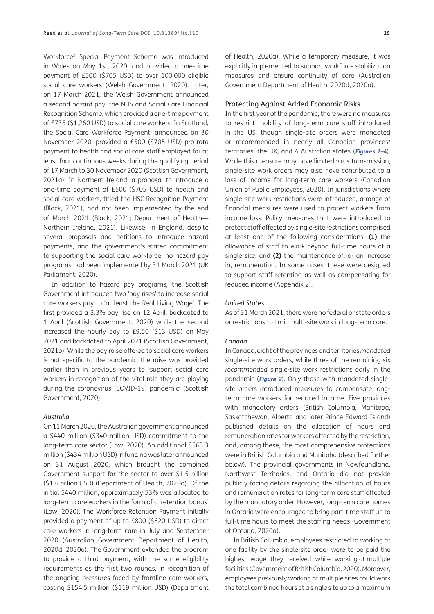Workforce3 Special Payment Scheme was introduced in Wales on May 1st, 2020, and provided a one-time payment of £500 (\$705 USD) to over 100,000 eligible social care workers (Welsh Government, 2020). Later, on 17 March 2021, the Welsh Government announced a second hazard pay, the NHS and Social Care Financial Recognition Scheme, which provided a one-time payment of £735 (\$1,260 USD) to social care workers. In Scotland, the Social Care Workforce Payment, announced on 30 November 2020, provided a £500 (\$705 USD) pro-rata payment to health and social care staff employed for at least four continuous weeks during the qualifying period of 17 March to 30 November 2020 (Scottish Government, 2021a). In Northern Ireland, a proposal to introduce a one-time payment of £500 (\$705 USD) to health and social care workers, titled the HSC Recognition Payment (Black, 2021), had not been implemented by the end of March 2021 (Black, 2021; Department of Health— Northern Ireland, 2021). Likewise, in England, despite several proposals and petitions to introduce hazard payments, and the government's stated commitment to supporting the social care workforce, no hazard pay programs had been implemented by 31 March 2021 (UK Parliament, 2020).

In addition to hazard pay programs, the Scottish Government introduced two 'pay rises' to increase social care workers pay to 'at least the Real Living Wage'. The first provided a 3.3% pay rise on 12 April, backdated to 1 April (Scottish Government, 2020) while the second increased the hourly pay to £9.50 (\$13 USD) on May 2021 and backdated to April 2021 (Scottish Government, 2021b). While the pay raise offered to social care workers is not specific to the pandemic, the raise was provided earlier than in previous years to 'support social care workers in recognition of the vital role they are playing during the coronavirus (COVID-19) pandemic' (Scottish Government, 2020).

#### *Australia*

On 11 March 2020, the Australian government announced a \$440 million (\$340 million USD) commitment to the long-term care sector (Low, 2020). An additional \$563.3 million (\$434 million USD) in funding was later announced on 31 August 2020, which brought the combined Government support for the sector to over \$1.5 billion (\$1.4 billion USD) (Department of Health, 2020a). Of the initial \$440 million, approximately 53% was allocated to long-term care workers in the form of a 'retention bonus' (Low, 2020). The Workforce Retention Payment initially provided a payment of up to \$800 (\$620 USD) to direct care workers in long-term care in July and September 2020 (Australian Government Department of Health, 2020d, 2020a). The Government extended the program to provide a third payment, with the same eligibility requirements as the first two rounds, in recognition of the ongoing pressures faced by frontline care workers, costing \$154.5 million (\$119 million USD) (Department of Health, 2020a). While a temporary measure, it was explicitly implemented to support workforce stabilization measures and ensure continuity of care (Australian Government Department of Health, 2020d, 2020a).

#### Protecting Against Added Economic Risks

In the first year of the pandemic, there were no measures to restrict mobility of long-term care staff introduced in the US, though single-site orders were mandated or recommended in nearly all Canadian provinces/ territories, the UK, and 4 Australian states (**Figures 1–4**). While this measure may have limited virus transmission, single-site work orders may also have contributed to a loss of income for long-term care workers (Canadian Union of Public Employees, 2020). In jurisdictions where single-site work restrictions were introduced, a range of financial measures were used to protect workers from income loss. Policy measures that were introduced to protect staff affected by single-site restrictions comprised at least one of the following considerations: **(1)** the allowance of staff to work beyond full-time hours at a single site; and **(2)** the maintenance of, or an increase in, remuneration. In some cases, these were designed to support staff retention as well as compensating for reduced income (Appendix 2).

#### *United States*

As of 31 March 2021, there were no federal or state orders or restrictions to limit multi-site work in long-term care.

#### *Canada*

In Canada, eight of the provinces and territories *mandated* single-site work orders, while three of the remaining six *recommended* single-site work restrictions early in the pandemic (**Figure 2**). Only those with mandated singlesite orders introduced measures to compensate longterm care workers for reduced income. Five provinces with mandatory orders (British Columbia, Manitoba, Saskatchewan, Alberta and later Prince Edward Island) published details on the allocation of hours and remuneration rates for workers affected by the restriction, and, among these, the most comprehensive protections were in British Columbia and Manitoba (described further below). The provincial governments in Newfoundland, Northwest Territories, and Ontario did not provide publicly facing details regarding the allocation of hours and remuneration rates for long-term care staff affected by the mandatory order. However, long-term care homes in Ontario were encouraged to bring part-time staff up to full-time hours to meet the staffing needs (Government of Ontario, 2020a).

In British Columbia, employees restricted to working at one facility by the single-site order were to be paid the highest wage they received while working at multiple facilities (Government of British Columbia, 2020). Moreover, employees previously working at multiple sites could work the total combined hours at a single site up to a maximum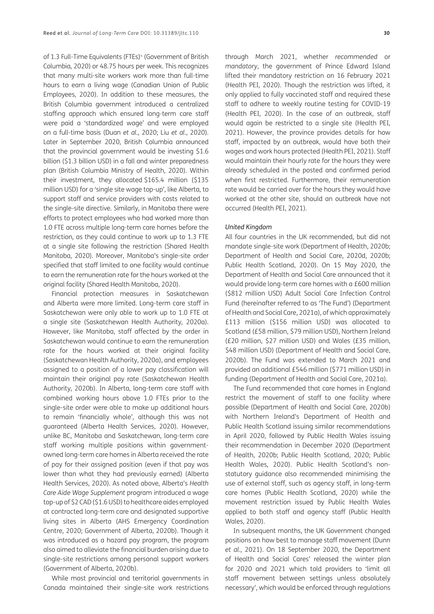of 1.3 Full-Time Equivalents (FTEs)<sup>4</sup> (Government of British Columbia, 2020) or 48.75 hours per week. This recognizes that many multi-site workers work more than full-time hours to earn a living wage (Canadian Union of Public Employees, 2020). In addition to these measures, the British Columbia government introduced a centralized staffing approach which ensured long-term care staff were paid a 'standardized wage' and were employed on a full-time basis (Duan *et al.*, 2020; Liu *et al.*, 2020). Later in September 2020, British Columbia announced that the provincial government would be investing \$1.6 billion (\$1.3 billion USD) in a fall and winter preparedness plan (British Columbia Ministry of Health, 2020). Within their investment, they allocated \$165.4 million (\$135 million USD) for a 'single site wage top-up', like Alberta, to support staff and service providers with costs related to the single-site directive. Similarly, in Manitoba there were efforts to protect employees who had worked more than 1.0 FTE across multiple long-term care homes before the restriction, as they could continue to work up to 1.3 FTE at a single site following the restriction (Shared Health Manitoba, 2020). Moreover, Manitoba's single-site order specified that staff limited to one facility would continue to earn the remuneration rate for the hours worked at the original facility (Shared Health Manitoba, 2020).

Financial protection measures in Saskatchewan and Alberta were more limited. Long-term care staff in Saskatchewan were only able to work up to 1.0 FTE at a single site (Saskatchewan Health Authority, 2020a). However, like Manitoba, staff affected by the order in Saskatchewan would continue to earn the remuneration rate for the hours worked at their original facility (Saskatchewan Health Authority, 2020a), and employees assigned to a position of a lower pay classification will maintain their original pay rate (Saskatchewan Health Authority, 2020b). In Alberta, long-term care staff with combined working hours above 1.0 FTEs prior to the single-site order were able to make up additional hours to remain 'financially whole', although this was not guaranteed (Alberta Health Services, 2020). However, unlike BC, Manitoba and Saskatchewan, long-term care staff working multiple positions within governmentowned long-term care homes in Alberta received the rate of pay for their assigned position (even if that pay was lower than what they had previously earned) (Alberta Health Services, 2020). As noted above, Alberta's *Health Care Aide Wage Supplement* program introduced a wage top-up of \$2 CAD (\$1.6 USD) to healthcare aides employed at contracted long-term care and designated supportive living sites in Alberta (AHS Emergency Coordination Centre, 2020; Government of Alberta, 2020b). Though it was introduced as a hazard pay program, the program also aimed to alleviate the financial burden arising due to single-site restrictions among personal support workers (Government of Alberta, 2020b).

While most provincial and territorial governments in Canada maintained their single-site work restrictions

through March 2021, whether *recommended* or *mandatory*, the government of Prince Edward Island lifted their mandatory restriction on 16 February 2021 (Health PEI, 2020). Though the restriction was lifted, it only applied to fully vaccinated staff and required these staff to adhere to weekly routine testing for COVID-19 (Health PEI, 2020). In the case of an outbreak, staff would again be restricted to a single site (Health PEI, 2021). However, the province provides details for how staff, impacted by an outbreak, would have both their wages and work hours protected (Health PEI, 2021). Staff would maintain their hourly rate for the hours they were already scheduled in the posted and confirmed period when first restricted. Furthermore, their remuneration rate would be carried over for the hours they would have worked at the other site, should an outbreak have not occurred (Health PEI, 2021).

#### *United Kingdom*

All four countries in the UK recommended, but did not mandate single-site work (Department of Health, 2020b; Department of Health and Social Care, 2020d, 2020b; Public Health Scotland, 2020). On 15 May 2020, the Department of Health and Social Care announced that it would provide long-term care homes with a £600 million (\$812 million USD) Adult Social Care Infection Control Fund (hereinafter referred to as 'The Fund') (Department of Health and Social Care, 2021a), of which approximately £113 million (\$156 million USD) was allocated to Scotland (£58 million, \$79 million USD), Northern Ireland (£20 million, \$27 million USD) and Wales (£35 million, \$48 million USD) (Department of Health and Social Care, 2020b). The Fund was extended to March 2021 and provided an additional £546 million (\$771 million USD) in funding (Department of Health and Social Care, 2021a).

The Fund recommended that care homes in England restrict the movement of staff to one facility where possible (Department of Health and Social Care, 2020b) with Northern Ireland's Department of Health and Public Health Scotland issuing similar recommendations in April 2020, followed by Public Health Wales issuing their recommendation in December 2020 (Department of Health, 2020b; Public Health Scotland, 2020; Public Health Wales, 2020). Public Health Scotland's nonstatutory guidance also recommended minimising the use of external staff, such as agency staff, in long-term care homes (Public Health Scotland, 2020) while the movement restriction issued by Public Health Wales applied to both staff and agency staff (Public Health Wales, 2020).

In subsequent months, the UK Government changed positions on how best to manage staff movement (Dunn *et al.*, 2021). On 18 September 2020, the Department of Health and Social Cares' released the winter plan for 2020 and 2021 which told providers to 'limit all staff movement between settings unless absolutely necessary', which would be enforced through regulations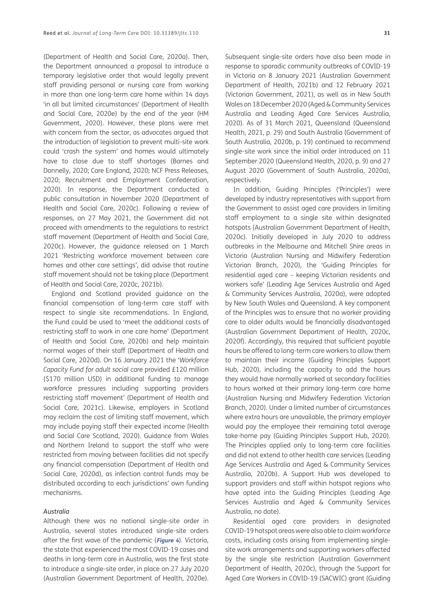(Department of Health and Social Care, 2020a). Then, the Department announced a proposal to introduce a temporary legislative order that would legally prevent staff providing personal or nursing care from working in more than one long-term care home within 14 days 'in all but limited circumstances' (Department of Health and Social Care, 2020e) by the end of the year (HM Government, 2020). However, these plans were met with concern from the sector, as advocates argued that the introduction of legislation to prevent multi-site work could 'crash the system' and homes would ultimately have to close due to staff shortages (Barnes and Donnelly, 2020; Care England, 2020; NCF Press Releases, 2020; Recruitment and Employment Confederation, 2020). In response, the Department conducted a public consultation in November 2020 (Department of Health and Social Care, 2020c). Following a review of responses, on 27 May 2021, the Government did not proceed with amendments to the regulations to restrict staff movement (Department of Health and Social Care, 2020c). However, the guidance released on 1 March 2021 'Restricting workforce movement between care homes and other care settings', did advise that routine staff movement should not be taking place (Department of Health and Social Care, 2020c, 2021b).

England and Scotland provided guidance on the financial compensation of long-term care staff with respect to single site recommendations. In England, the Fund could be used to 'meet the additional costs of restricting staff to work in one care home' (Department of Health and Social Care, 2020b) and help maintain normal wages of their staff (Department of Health and Social Care, 2020d). On 16 January 2021 the '*Workforce Capacity Fund for adult social care* provided £120 million (\$170 million USD) in additional funding to manage workforce pressures including supporting providers restricting staff movement' (Department of Health and Social Care, 2021c). Likewise, employers in Scotland may reclaim the cost of limiting staff movement, which may include paying staff their expected income (Health and Social Care Scotland, 2020). Guidance from Wales and Northern Ireland to support the staff who were restricted from moving between facilities did not specify any financial compensation (Department of Health and Social Care, 2020d), as infection control funds may be distributed according to each jurisdictions' own funding mechanisms.

### *Australia*

Although there was no national single-site order in Australia, several states introduced single-site orders after the first wave of the pandemic (**Figure 4**). Victoria, the state that experienced the most COVID-19 cases and deaths in long-term care in Australia, was the first state to introduce a single-site order, in place on 27 July 2020 (Australian Government Department of Health, 2020e). Department of Health, 2021b) and 12 February 2021 (Victorian Government, 2021), as well as in New South Wales on 18 December 2020 (Aged & Community Services Australia and Leading Aged Care Services Australia, 2020). As of 31 March 2021, Queensland (Queensland Health, 2021, p. 29) and South Australia (Government of South Australia, 2020b, p. 19) continued to recommend single-site work since the initial order introduced on 11 September 2020 (Queensland Health, 2020, p. 9) and 27 August 2020 (Government of South Australia, 2020a), respectively.

In addition, Guiding Principles ('Principles') were developed by industry representatives with support from the Government to assist aged care providers in limiting staff employment to a single site within designated hotspots (Australian Government Department of Health, 2020c). Initially developed in July 2020 to address outbreaks in the Melbourne and Mitchell Shire areas in Victoria (Australian Nursing and Midwifery Federation Victorian Branch, 2020), the 'Guiding Principles for residential aged care – keeping Victorian residents and workers safe' (Leading Age Services Australia and Aged & Community Services Australia, 2020a), were adopted by New South Wales and Queensland. A key component of the Principles was to ensure that no worker providing care to older adults would be financially disadvantaged (Australian Government Department of Health, 2020c, 2020f). Accordingly, this required that sufficient payable hours be offered to long-term care workers to allow them to maintain their income (Guiding Principles Support Hub, 2020), including the capacity to add the hours they would have normally worked at secondary facilities to hours worked at their primary long-term care home (Australian Nursing and Midwifery Federation Victorian Branch, 2020). Under a limited number of circumstances where extra hours are unavailable, the primary employer would pay the employee their remaining total average take-home pay (Guiding Principles Support Hub, 2020). The Principles applied only to long-term care facilities and did not extend to other health care services (Leading Age Services Australia and Aged & Community Services Australia, 2020b). A Support Hub was developed to support providers and staff within hotspot regions who have opted into the Guiding Principles (Leading Age Services Australia and Aged & Community Services Australia, no date).

Residential aged care providers in designated COVID-19 hotspot areas were also able to claim workforce costs, including costs arising from implementing singlesite work arrangements and supporting workers affected by the single site restriction (Australian Government Department of Health, 2020c), through the Support for Aged Care Workers in COVID-19 (SACWIC) grant (Guiding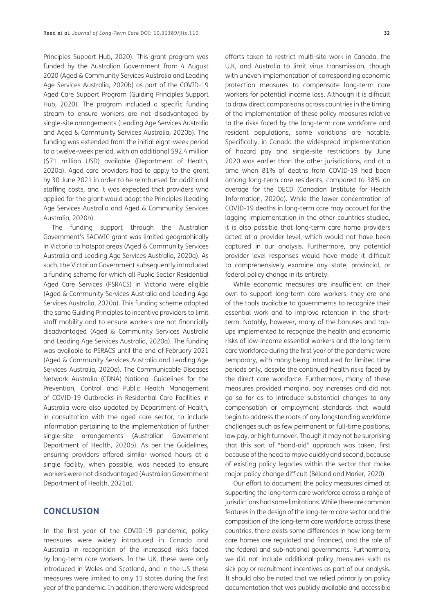Principles Support Hub, 2020). This grant program was funded by the Australian Government from 4 August 2020 (Aged & Community Services Australia and Leading Age Services Australia, 2020b) as part of the COVID-19 Aged Care Support Program (Guiding Principles Support Hub, 2020). The program included a specific funding stream to ensure workers are not disadvantaged by single-site arrangements (Leading Age Services Australia and Aged & Community Services Australia, 2020b). The funding was extended from the initial eight-week period to a twelve-week period, with an additional \$92.4 million (\$71 million USD) available (Department of Health, 2020a). Aged care providers had to apply to the grant by 30 June 2021 in order to be reimbursed for additional staffing costs, and it was expected that providers who applied for the grant would adopt the Principles (Leading Age Services Australia and Aged & Community Services Australia, 2020b).

The funding support through the Australian Government's SACWIC grant was limited geographically in Victoria to hotspot areas (Aged & Community Services Australia and Leading Age Services Australia, 2020a). As such, the Victorian Government subsequently introduced a funding scheme for which all Public Sector Residential Aged Care Services (PSRACS) in Victoria were eligible (Aged & Community Services Australia and Leading Age Services Australia, 2020a). This funding scheme adopted the same Guiding Principles to incentive providers to limit staff mobility and to ensure workers are not financially disadvantaged (Aged & Community Services Australia and Leading Age Services Australia, 2020a). The funding was available to PSRACS until the end of February 2021 (Aged & Community Services Australia and Leading Age Services Australia, 2020a). The Communicable Diseases Network Australia (CDNA) National Guidelines for the Prevention, Control and Public Health Management of COVID-19 Outbreaks in Residential Care Facilities in Australia were also updated by Department of Health, in consultation with the aged care sector, to include information pertaining to the implementation of further single-site arrangements (Australian Government Department of Health, 2020b). As per the Guidelines, ensuring providers offered similar worked hours at a single facility, when possible, was needed to ensure workers were not disadvantaged (Australian Government Department of Health, 2021a).

# **CONCLUSION**

In the first year of the COVID-19 pandemic, policy measures were widely introduced in Canada and Australia in recognition of the increased risks faced by long-term care workers. In the UK, these were only introduced in Wales and Scotland, and in the US these measures were limited to only 11 states during the first year of the pandemic. In addition, there were widespread

efforts taken to restrict multi-site work in Canada, the U.K, and Australia to limit virus transmission, though with uneven implementation of corresponding economic protection measures to compensate long-term care workers for potential income loss. Although it is difficult to draw direct comparisons across countries in the timing of the implementation of these policy measures relative to the risks faced by the long-term care workforce and resident populations, some variations are notable. Specifically, in Canada the widespread implementation of hazard pay and single-site restrictions by June 2020 was earlier than the other jurisdictions, and at a time when 81% of deaths from COVID-19 had been among long-term care residents, compared to 38% on average for the OECD (Canadian Institute for Health Information, 2020a). While the lower concentration of COVID-19 deaths in long-term care may account for the lagging implementation in the other countries studied, it is also possible that long-term care home providers acted at a provider level, which would not have been captured in our analysis. Furthermore, any potential provider level responses would have made it difficult to comprehensively examine any state, provincial, or federal policy change in its entirety.

While economic measures are insufficient on their own to support long-term care workers, they are one of the tools available to governments to recognize their essential work and to improve retention in the shortterm. Notably, however, many of the bonuses and topups implemented to recognize the health and economic risks of low-income essential workers and the long-term care workforce during the first year of the pandemic were temporary, with many being introduced for limited time periods only, despite the continued health risks faced by the direct care workforce. Furthermore, many of these measures provided marginal pay increases and did not go so far as to introduce substantial changes to any compensation or employment standards that would begin to address the roots of any longstanding workforce challenges such as few permanent or full-time positions, low pay, or high turnover. Though it may not be surprising that this sort of "band-aid" approach was taken, first because of the need to move quickly and second, because of existing policy legacies within the sector that make major policy change difficult (Béland and Marier, 2020).

Our effort to document the policy measures aimed at supporting the long-term care workforce across a range of jurisdictions had some limitations. While there are common features in the design of the long-term care sector and the composition of the long-term care workforce across these countries, there exists some differences in how long-term care homes are regulated and financed, and the role of the federal and sub-national governments. Furthermore, we did not include additional policy measures such as sick pay or recruitment incentives as part of our analysis. It should also be noted that we relied primarily on policy documentation that was publicly available and accessible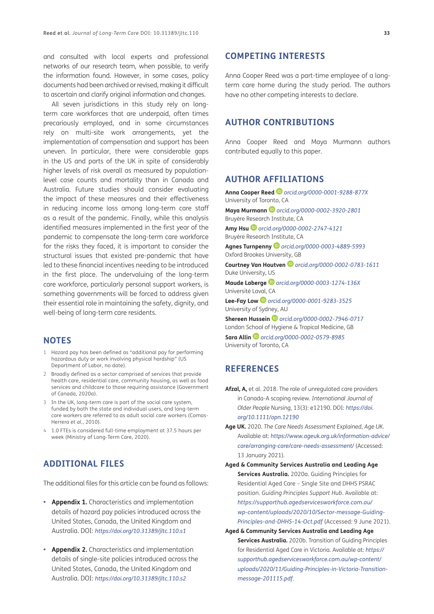and consulted with local experts and professional networks of our research team, when possible, to verify the information found. However, in some cases, policy documents had been archived or revised, making it difficult to ascertain and clarify original information and changes.

All seven jurisdictions in this study rely on longterm care workforces that are underpaid, often times precariously employed, and in some circumstances rely on multi-site work arrangements, yet the implementation of compensation and support has been uneven. In particular, there were considerable gaps in the US and parts of the UK in spite of considerably higher levels of risk overall as measured by populationlevel case counts and mortality than in Canada and Australia. Future studies should consider evaluating the impact of these measures and their effectiveness in reducing income loss among long-term care staff as a result of the pandemic. Finally, while this analysis identified measures implemented in the first year of the pandemic to compensate the long-term care workforce for the risks they faced, it is important to consider the structural issues that existed pre-pandemic that have led to these financial incentives needing to be introduced in the first place. The undervaluing of the long-term care workforce, particularly personal support workers, is something governments will be forced to address given their essential role in maintaining the safety, dignity, and well-being of long-term care residents.

## **NOTES**

- 1 Hazard pay has been defined as "additional pay for performing hazardous duty or work involving physical hardship" (US Department of Labor, no date).
- 2 Broadly defined as a sector comprised of services that provide health care, residential care, community housing, as well as food services and childcare to those requiring assistance (Government of Canada, 2020a).
- 3 In the UK, long-term care is part of the social care system, funded by both the state and individual users, and long-term care workers are referred to as adult social care workers (Comas-Herrera *et al.*, 2010).
- 4 1.0 FTEs is considered full-time employment at 37.5 hours per week (Ministry of Long-Term Care, 2020).

# **ADDITIONAL FILES**

The additional files for this article can be found as follows:

- **Appendix 1.** Characteristics and implementation details of hazard pay policies introduced across the United States, Canada, the United Kingdom and Australia. DOI: *https://doi.org/10.31389/jltc.110.s1*
- **Appendix 2.** Characteristics and implementation details of single-site policies introduced across the United States, Canada, the United Kingdom and Australia. DOI: *https://doi.org/10.31389/jltc.110.s2*

## **COMPETING INTERESTS**

Anna Cooper Reed was a part-time employee of a longterm care home during the study period. The authors have no other competing interests to declare.

## **AUTHOR CONTRIBUTIONS**

Anna Cooper Reed and Maya Murmann authors contributed equally to this paper.

# **AUTHOR AFFILIATIONS**

**Anna Cooper Reed** *orcid.org/0000-0001-9288-877X* University of Toronto, CA **Maya Murmann** *orcid.org/0000-0002-3920-2801* Bruyère Research Institute, CA **Amy Hsu** *orcid.org/0000-0002-2747-4121* Bruyère Research Institute, CA **Agnes Turnpenny** *orcid.org/0000-0003-4889-5993* Oxford Brookes University, GB **Courtney Van Houtven** *orcid.org/0000-0002-0783-1611* Duke University, US **Maude Laberge** *orcid.org/0000-0003-1274-136X* Université Laval, CA **Lee-Fay Low** *orcid.org/0000-0001-9283-3525* University of Sydney, AU **Shereen Hussein** *orcid.org/0000-0002-7946-0717* London School of Hygiene & Tropical Medicine, GB **Sara Allin** *orcid.org/0000-0002-0579-8985*

University of Toronto, CA

### **REFERENCES**

- **Afzal, A,** et al. 2018. The role of unregulated care providers in Canada-A scoping review. *International Journal of Older People Nursing*, 13(3): e12190. DOI: *https://doi. org/10.1111/opn.12190*
- **Age UK.** 2020. *The Care Needs Assessment Explained*, *Age UK*. Available at: *https://www.ageuk.org.uk/information-advice/ care/arranging-care/care-needs-assessment/* (Accessed: 13 January 2021).
- **Aged & Community Services Australia and Leading Age Services Australia.** 2020a. Guiding Principles for Residential Aged Care – Single Site and DHHS PSRAC position. *Guiding Principles Support Hub*. Available at: *https://supporthub.agedservicesworkforce.com.au/ wp-content/uploads/2020/10/Sector-message-Guiding-Principles-and-DHHS-14-Oct.pdf* (Accessed: 9 June 2021).
- **Aged & Community Services Australia and Leading Age Services Australia.** 2020b. Transition of Guiding Principles for Residential Aged Care in Victoria. Available at: *https:// supporthub.agedservicesworkforce.com.au/wp-content/ uploads/2020/11/Guiding-Principles-in-Victoria-Transitionmessage-201115.pdf*.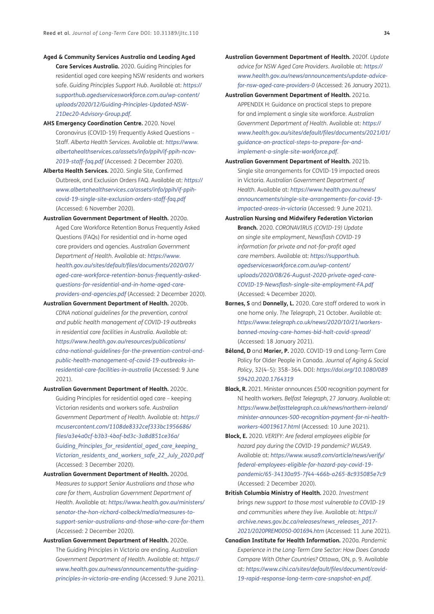- **Aged & Community Services Australia and Leading Aged Care Services Australia.** 2020. Guiding Principles for residential aged care keeping NSW residents and workers safe. *Guiding Principles Support Hub*. Available at: *https:// supporthub.agedservicesworkforce.com.au/wp-content/ uploads/2020/12/Guiding-Principles-Updated-NSW-21Dec20-Advisory-Group.pdf*.
- **AHS Emergency Coordination Centre.** 2020. Novel Coronavirus (COVID-19) Frequently Asked Questions – Staff. *Alberta Health Services*. Available at: *https://www. albertahealthservices.ca/assets/info/ppih/if-ppih-ncov-2019-staff-faq.pdf* (Accessed: 2 December 2020).
- **Alberta Health Services.** 2020. Single Site, Confirmed Outbreak, and Exclusion Orders FAQ. Available at: *https:// www.albertahealthservices.ca/assets/info/ppih/if-ppihcovid-19-single-site-exclusion-orders-staff-faq.pdf* (Accessed: 6 November 2020).
- **Australian Government Department of Health.** 2020a. Aged Care Workforce Retention Bonus Frequently Asked Questions (FAQs) For residential and in-home aged care providers and agencies. *Australian Government Department of Health*. Available at: *https://www. health.gov.au/sites/default/files/documents/2020/07/ aged-care-workforce-retention-bonus-frequently-askedquestions-for-residential-and-in-home-aged-careproviders-and-agencies.pdf* (Accessed: 2 December 2020).
- **Australian Government Department of Health.** 2020b. *CDNA national guidelines for the prevention, control and public health management of COVID-19 outbreaks in residential care facilities in Australia*. Available at: *https://www.health.gov.au/resources/publications/ cdna-national-guidelines-for-the-prevention-control-andpublic-health-management-of-covid-19-outbreaks-inresidential-care-facilities-in-australia* (Accessed: 9 June 2021).
- **Australian Government Department of Health.** 2020c. Guiding Principles for residential aged care – keeping Victorian residents and workers safe. *Australian Government Department of Health*. Available at: *https:// mcusercontent.com/1108de8332cef333bc1956686/ files/a3e4a0cf-b3b3-4baf-bd3c-3a8d851ce36a/ Guiding\_Principles\_for\_residential\_aged\_care\_keeping\_ Victorian\_residents\_and\_workers\_safe\_22\_July\_2020.pdf* (Accessed: 3 December 2020).
- **Australian Government Department of Health.** 2020d. *Measures to support Senior Australians and those who care for them*, *Australian Government Department of Health*. Available at: *https://www.health.gov.au/ministers/ senator-the-hon-richard-colbeck/media/measures-tosupport-senior-australians-and-those-who-care-for-them* (Accessed: 2 December 2020).
- **Australian Government Department of Health.** 2020e. The Guiding Principles in Victoria are ending. *Australian Government Department of Health*. Available at: *https:// www.health.gov.au/news/announcements/the-guidingprinciples-in-victoria-are-ending* (Accessed: 9 June 2021).
- **Australian Government Department of Health.** 2020f. *Update advice for NSW Aged Care Providers*. Available at: *https:// www.health.gov.au/news/announcements/update-advicefor-nsw-aged-care-providers-0* (Accessed: 26 January 2021).
- **Australian Government Department of Health.** 2021a. APPENDIX H: Guidance on practical steps to prepare for and implement a single site workforce. *Australian Government Department of Health*. Available at: *https:// www.health.gov.au/sites/default/files/documents/2021/01/ guidance-on-practical-steps-to-prepare-for-andimplement-a-single-site-workforce.pdf*.
- **Australian Government Department of Health.** 2021b. Single site arrangements for COVID-19 impacted areas in Victoria. *Australian Government Department of Health*. Available at: *https://www.health.gov.au/news/ announcements/single-site-arrangements-for-covid-19 impacted-areas-in-victoria* (Accessed: 9 June 2021).
- **Australian Nursing and Midwifery Federation Victorian Branch.** 2020. *CORONAVIRUS (COVID-19) Update on single site employment*, *Newsflash COVID-19 information for private and not-for-profit aged care members*. Available at: *https://supporthub. agedservicesworkforce.com.au/wp-content/ uploads/2020/08/26-August-2020-private-aged-care-COVID-19-Newsflash-single-site-employment-FA.pdf* (Accessed: 4 December 2020).
- **Barnes, S** and **Donnelly, L.** 2020. Care staff ordered to work in one home only. *The Telegraph*, 21 October. Available at: *https://www.telegraph.co.uk/news/2020/10/21/workersbanned-moving-care-homes-bid-halt-covid-spread/* (Accessed: 18 January 2021).
- **Béland, D** and **Marier, P.** 2020. COVID-19 and Long-Term Care Policy for Older People in Canada. *Journal of Aging & Social Policy*, 32(4–5): 358–364. DOI: *https://doi.org/10.1080/089 59420.2020.1764319*
- **Black, R.** 2021. Minister announces £500 recognition payment for NI health workers. *Belfast Telegraph*, 27 January. Available at: *https://www.belfasttelegraph.co.uk/news/northern-ireland/ minister-announces-500-recognition-payment-for-ni-healthworkers-40019617.html* (Accessed: 10 June 2021).
- **Block, E.** 2020. *VERIFY: Are federal employees eligible for hazard pay during the COVID-19 pandemic? WUSA9*. Available at: *https://www.wusa9.com/article/news/verify/ federal-employees-eligible-for-hazard-pay-covid-19 pandemic/65-34130a95-7f44-466b-a265-8c935085e7c9* (Accessed: 2 December 2020).
- **British Columbia Ministry of Health.** 2020. *Investment brings new support to those most vulnerable to COVID-19 and communities where they live*. Available at: *https:// archive.news.gov.bc.ca/releases/news\_releases\_2017- 2021/2020PREM0050-001694.htm* (Accessed: 11 June 2021).
- **Canadian Institute for Health Information.** 2020a. *Pandemic Experience in the Long-Term Care Sector: How Does Canada Compare With Other Countries?* Ottawa, ON, p. 9. Available at: *https://www.cihi.ca/sites/default/files/document/covid-19-rapid-response-long-term-care-snapshot-en.pdf*.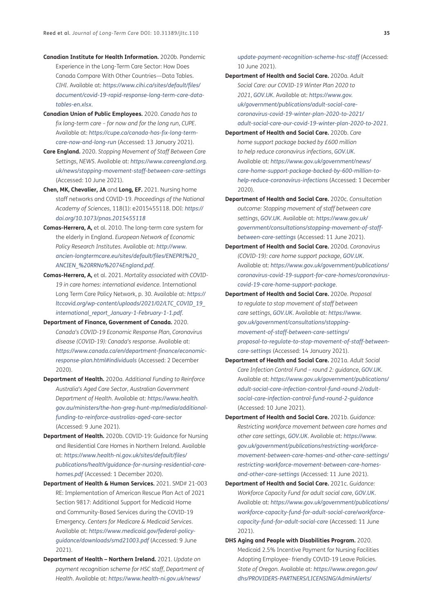- **Canadian Institute for Health Information.** 2020b. Pandemic Experience in the Long-Term Care Sector: How Does Canada Compare With Other Countries—Data Tables. *CIHI*. Available at: *https://www.cihi.ca/sites/default/files/ document/covid-19-rapid-response-long-term-care-datatables-en.xlsx*.
- **Canadian Union of Public Employees.** 2020. *Canada has to fix long-term care – for now and for the long run*, *CUPE*. Available at: *https://cupe.ca/canada-has-fix-long-termcare-now-and-long-run* (Accessed: 13 January 2021).
- **Care England.** 2020. *Stopping Movement of Staff Between Care Settings*, *NEWS*. Available at: *https://www.careengland.org. uk/news/stopping-movement-staff-between-care-settings* (Accessed: 10 June 2021).
- **Chen, MK, Chevalier, JA** and **Long, EF.** 2021. Nursing home staff networks and COVID-19. *Proceedings of the National Academy of Sciences*, 118(1): e2015455118. DOI: *https:// doi.org/10.1073/pnas.2015455118*
- **Comas-Herrera, A,** et al. 2010. The long-term care system for the elderly in England. *European Network of Economic Policy Research Institutes*. Available at: *http://www. ancien-longtermcare.eu/sites/default/files/ENEPRI%20\_ ANCIEN\_%20RRNo%2074England.pdf*.
- **Comas-Herrera, A,** et al. 2021. *Mortality associated with COVID-19 in care homes: international evidence*. International Long Term Care Policy Network, p. 30. Available at: *https:// ltccovid.org/wp-content/uploads/2021/02/LTC\_COVID\_19\_ international\_report\_January-1-February-1-1.pdf*.
- **Department of Finance, Government of Canada.** 2020. *Canada's COVID-19 Economic Response Plan*, *Coronavirus disease (COVID-19): Canada's response*. Available at: *https://www.canada.ca/en/department-finance/economicresponse-plan.html#individuals* (Accessed: 2 December 2020).
- **Department of Health.** 2020a. *Additional Funding to Reinforce Australia's Aged Care Sector*, *Australian Government Department of Health*. Available at: *https://www.health. gov.au/ministers/the-hon-greg-hunt-mp/media/additionalfunding-to-reinforce-australias-aged-care-sector* (Accessed: 9 June 2021).
- **Department of Health.** 2020b. COVID-19: Guidance for Nursing and Residential Care Homes in Northern Ireland. Available at: *https://www.health-ni.gov.uk/sites/default/files/ publications/health/guidance-for-nursing-residential-carehomes.pdf* (Accessed: 1 December 2020).
- **Department of Health & Human Services.** 2021. SMD# 21-003 RE: Implementation of American Rescue Plan Act of 2021 Section 9817: Additional Support for Medicaid Home and Community-Based Services during the COVID-19 Emergency. *Centers for Medicare & Medicaid Services*. Available at: *https://www.medicaid.gov/federal-policyguidance/downloads/smd21003.pdf* (Accessed: 9 June 2021).
- **Department of Health Northern Ireland.** 2021. *Update on payment recognition scheme for HSC staff*, *Department of Health*. Available at: *https://www.health-ni.gov.uk/news/*

*update-payment-recognition-scheme-hsc-staff* (Accessed: 10 June 2021).

- **Department of Health and Social Care.** 2020a. *Adult Social Care: our COVID-19 Winter Plan 2020 to 2021*, *GOV.UK*. Available at: *https://www.gov. uk/government/publications/adult-social-carecoronavirus-covid-19-winter-plan-2020-to-2021/ adult-social-care-our-covid-19-winter-plan-2020-to-2021*.
- **Department of Health and Social Care.** 2020b. *Care home support package backed by £600 million to help reduce coronavirus infections*, *GOV.UK*. Available at: *https://www.gov.uk/government/news/ care-home-support-package-backed-by-600-million-tohelp-reduce-coronavirus-infections* (Accessed: 1 December 2020).
- **Department of Health and Social Care.** 2020c. *Consultation outcome: Stopping movement of staff between care settings*, *GOV.UK*. Available at: *https://www.gov.uk/ government/consultations/stopping-movement-of-staffbetween-care-settings* (Accessed: 11 June 2021).
- **Department of Health and Social Care.** 2020d. *Coronavirus (COVID-19): care home support package*, *GOV.UK*. Available at: *https://www.gov.uk/government/publications/ coronavirus-covid-19-support-for-care-homes/coronaviruscovid-19-care-home-support-package*.
- **Department of Health and Social Care.** 2020e. *Proposal to regulate to stop movement of staff between care settings*, *GOV.UK*. Available at: *https://www. gov.uk/government/consultations/stoppingmovement-of-staff-between-care-settings/ proposal-to-regulate-to-stop-movement-of-staff-betweencare-settings* (Accessed: 14 January 2021).
- **Department of Health and Social Care.** 2021a. *Adult Social Care Infection Control Fund – round 2: guidance*, *GOV.UK*. Available at: *https://www.gov.uk/government/publications/ adult-social-care-infection-control-fund-round-2/adultsocial-care-infection-control-fund-round-2-guidance* (Accessed: 10 June 2021).
- **Department of Health and Social Care.** 2021b. *Guidance: Restricting workforce movement between care homes and other care settings*, *GOV.UK*. Available at: *https://www. gov.uk/government/publications/restricting-workforcemovement-between-care-homes-and-other-care-settings/ restricting-workforce-movement-between-care-homesand-other-care-settings* (Accessed: 11 June 2021).
- **Department of Health and Social Care.** 2021c. *Guidance: Workforce Capacity Fund for adult social care*, *GOV.UK*. Available at: *https://www.gov.uk/government/publications/ workforce-capacity-fund-for-adult-social-care/workforcecapacity-fund-for-adult-social-care* (Accessed: 11 June 2021).
- **DHS Aging and People with Disabilities Program.** 2020. Medicaid 2.5% Incentive Payment for Nursing Facilities Adopting Employee- friendly COVID-19 Leave Policies. *State of Oregon*. Available at: *https://www.oregon.gov/ dhs/PROVIDERS-PARTNERS/LICENSING/AdminAlerts/*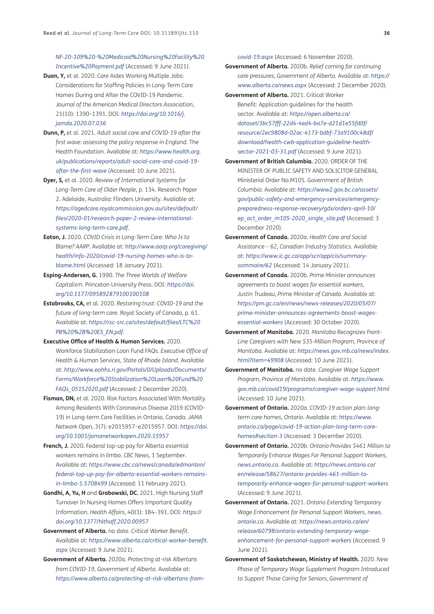*NF-20-109%20-%20Medicaid%20Nursing%20Facility%20 Incentive%20Payment.pdf* (Accessed: 9 June 2021).

- **Duan, Y,** et al. 2020. Care Aides Working Multiple Jobs: Considerations for Staffing Policies in Long-Term Care Homes During and After the COVID-19 Pandemic. *Journal of the American Medical Directors Association*, 21(10): 1390–1391. DOI: *https://doi.org/10.1016/j. jamda.2020.07.036*
- **Dunn, P,** et al. 2021. *Adult social care and COVID-19 after the first wave: assessing the policy response in England*. The Health Foundation. Available at: *https://www.health.org. uk/publications/reports/adult-social-care-and-covid-19 after-the-first-wave* (Accessed: 10 June 2021).
- **Dyer, S,** et al. 2020. *Review of International Systems for Long-Term Care of Older People,* p. 134. Research Paper 2. Adelaide, Australia: Flinders University. Available at: *https://agedcare.royalcommission.gov.au/sites/default/ files/2020-01/research-paper-2-review-internationalsystems-long-term-care.pdf*.
- **Eaton, J.** 2020. *COVID Crisis in Long-Term Care: Who Is to Blame? AARP*. Available at: *http://www.aarp.org/caregiving/ health/info-2020/covid-19-nursing-homes-who-is-toblame.html* (Accessed: 18 January 2021).
- **Esping-Andersen, G.** 1990. *The Three Worlds of Welfare Capitalism*. Princeton University Press. DOI: *https://doi. org/10.1177/095892879100100108*
- **Estabrooks, CA,** et al. 2020. *Restoring trust: COVID-19 and the future of long-term care*. Royal Society of Canada, p. 61. Available at: *https://rsc-src.ca/sites/default/files/LTC%20 PB%20%2B%20ES\_EN.pdf*.
- **Executive Office of Health & Human Services.** 2020. Workforce Stabilization Loan Fund FAQs. *Executive Office of Health & Human Services, State of Rhode Island*. Available at: *http://www.eohhs.ri.gov/Portals/0/Uploads/Documents/ Forms/Workforce%20Stabilization%20Loan%20Fund%20 FAQs\_05152020.pdf* (Accessed: 2 December 2020).
- **Fisman, DN,** et al. 2020. Risk Factors Associated With Mortality Among Residents With Coronavirus Disease 2019 (COVID-19) in Long-term Care Facilities in Ontario, Canada. *JAMA Network Open*, 3(7): e2015957–e2015957. DOI: *https://doi. org/10.1001/jamanetworkopen.2020.15957*
- **French, J.** 2020. Federal top-up pay for Alberta essential workers remains in limbo. *CBC News*, 1 September. Available at: *https://www.cbc.ca/news/canada/edmonton/ federal-top-up-pay-for-alberta-essential-workers-remainsin-limbo-1.5708499* (Accessed: 11 February 2021).
- **Gandhi, A, Yu, H** and **Grabowski, DC.** 2021. High Nursing Staff Turnover In Nursing Homes Offers Important Quality Information. *Health Affairs*, 40(3): 384–391. DOI: *https:// doi.org/10.1377/hlthaff.2020.00957*
- **Government of Alberta.** no date. *Critical Worker Benefit*. Available at: *https://www.alberta.ca/critical-worker-benefit. aspx* (Accessed: 9 June 2021).
- **Government of Alberta.** 2020a. *Protecting at-risk Albertans from COVID-19*, *Government of Alberta*. Available at: *https://www.alberta.ca/protecting-at-risk-albertans-from-*

*covid-19.aspx* (Accessed: 6 November 2020).

- **Government of Alberta.** 2020b. *Relief coming for continuing care pressures*, *Government of Alberta*. Available at: *https:// www.alberta.ca/news.aspx* (Accessed: 2 December 2020).
- **Government of Alberta.** 2021. Critical Worker Benefit: Application guidelines for the health sector. Available at: *https://open.alberta.ca/ dataset/3bc57fff-22d4-4ed4-ba7e-d21d1e55fd0f/ resource/2ec9808d-02ac-4173-bdbf-73a9100c48df/ download/health-cwb-application-guideline-healthsector-2021-03-31.pdf* (Accessed: 9 June 2021).
- **Government of British Columbia.** 2020. ORDER OF THE MINISTER OF PUBLIC SAFETY AND SOLICITOR GENERAL Ministerial Order No.M105. *Government of British Columbia*. Available at: *https://www2.gov.bc.ca/assets/ gov/public-safety-and-emergency-services/emergencypreparedness-response-recovery/gdx/orders-april-10/ ep\_act\_order\_m105-2020\_single\_site.pdf* (Accessed: 3 December 2020).
- **Government of Canada.** 2020a. *Health Care and Social Assistance – 62*, *Canadian Industry Statistics*. Available at: *https://www.ic.gc.ca/app/scr/app/cis/summarysommaire/62* (Accessed: 14 January 2021).
- **Government of Canada.** 2020b. *Prime Minister announces agreements to boost wages for essential workers*, *Justin Trudeau, Prime Minister of Canada*. Available at: *https://pm.gc.ca/en/news/news-releases/2020/05/07/ prime-minister-announces-agreements-boost-wagesessential-workers* (Accessed: 30 October 2020).
- **Government of Manitoba.** 2020. *Manitoba Recognizes Front-Line Caregivers with New \$35-Million Program*, *Province of Manitoba*. Available at: *https://news.gov.mb.ca/news/index. html?item=49908* (Accessed: 10 June 2021).
- **Government of Manitoba.** no date. *Caregiver Wage Support Program*, *Province of Manitoba*. Available at: *https://www. gov.mb.ca/covid19/programs/caregiver-wage-support.html* (Accessed: 10 June 2021).
- **Government of Ontario.** 2020a. *COVID-19 action plan: longterm care homes*, *Ontario*. Available at: *https://www. ontario.ca/page/covid-19-action-plan-long-term-carehomes#section-3* (Accessed: 3 December 2020).
- **Government of Ontario.** 2020b. *Ontario Provides \$461 Million to Temporarily Enhance Wages For Personal Support Workers*, *news.ontario.ca*. Available at: *https://news.ontario.ca/ en/release/58627/ontario-provides-461-million-totemporarily-enhance-wages-for-personal-support-workers* (Accessed: 9 June 2021).
- **Government of Ontario.** 2021. *Ontario Extending Temporary Wage Enhancement for Personal Support Workers*, *news. ontario.ca*. Available at: *https://news.ontario.ca/en/ release/60798/ontario-extending-temporary-wageenhancement-for-personal-support-workers* (Accessed: 9 June 2021).
- **Government of Saskatchewan, Ministry of Health.** 2020. *New Phase of Temporary Wage Supplement Program Introduced to Support Those Caring for Seniors*, *Government of*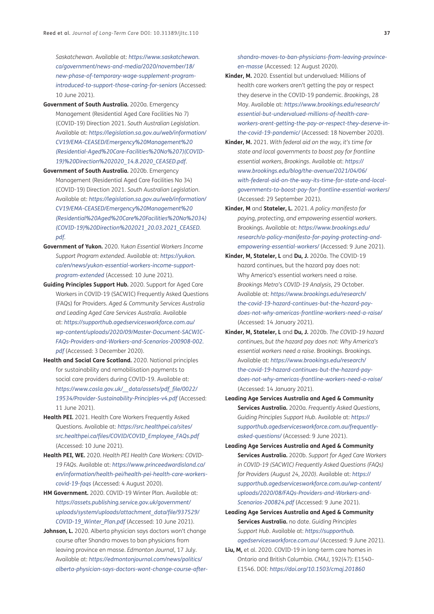*Saskatchewan*. Available at: *https://www.saskatchewan. ca/government/news-and-media/2020/november/18/ new-phase-of-temporary-wage-supplement-programintroduced-to-support-those-caring-for-seniors* (Accessed: 10 June 2021).

- **Government of South Australia.** 2020a. Emergency Management (Residential Aged Care Facilities No 7) (COVID-19) Direction 2021. *South Australian Legislation*. Available at: *https://legislation.sa.gov.au/web/information/ CV19/EMA-CEASED/Emergency%20Management%20 (Residential-Aged%20Care-Facilities%20No%207)(COVID-19)%20Direction%202020\_14.8.2020\_CEASED.pdf*.
- **Government of South Australia.** 2020b. Emergency Management (Residential Aged Care Facilities No 34) (COVID-19) Direction 2021. *South Australian Legislation*. Available at: *https://legislation.sa.gov.au/web/information/ CV19/EMA-CEASED/Emergency%20Management%20 (Residential%20Aged%20Care%20Facilities%20No%2034) (COVID-19)%20Direction%202021\_20.03.2021\_CEASED. pdf*.
- **Government of Yukon.** 2020. *Yukon Essential Workers Income Support Program extended*. Available at: *https://yukon. ca/en/news/yukon-essential-workers-income-supportprogram-extended* (Accessed: 10 June 2021).
- **Guiding Principles Support Hub.** 2020. Support for Aged Care Workers in COVID-19 (SACWIC) Frequently Asked Questions (FAQs) for Providers. *Aged & Community Services Australia and Leading Aged Care Services Australia*. Available at: *https://supporthub.agedservicesworkforce.com.au/ wp-content/uploads/2020/09/Master-Document-SACWIC-FAQs-Providers-and-Workers-and-Scenarios-200908-002. pdf* (Accessed: 3 December 2020).
- **Health and Social Care Scotland.** 2020. National principles for sustainability and remobilisation payments to social care providers during COVID-19. Available at: *https://www.cosla.gov.uk/\_\_data/assets/pdf\_file/0022/ 19534/Provider-Sustainability-Principles-v4.pdf* (Accessed: 11 June 2021).
- **Health PEI.** 2021. Health Care Workers Frequently Asked Questions. Available at: *https://src.healthpei.ca/sites/ src.healthpei.ca/files/COVID/COVID\_Employee\_FAQs.pdf* (Accessed: 10 June 2021).
- **Health PEI, WE.** 2020. *Health PEI Health Care Workers: COVID-19 FAQs*. Available at: *https://www.princeedwardisland.ca/ en/information/health-pei/health-pei-health-care-workerscovid-19-faqs* (Accessed: 4 August 2020).
- **HM Government.** 2020. COVID-19 Winter Plan. Available at: *https://assets.publishing.service.gov.uk/government/ uploads/system/uploads/attachment\_data/file/937529/ COVID-19\_Winter\_Plan.pdf* (Accessed: 10 June 2021).
- Johnson, L. 2020. Alberta physician says doctors won't change course after Shandro moves to ban physicians from leaving province en masse. *Edmonton Journal*, 17 July. Available at: *https://edmontonjournal.com/news/politics/ alberta-physician-says-doctors-wont-change-course-after-*

*shandro-moves-to-ban-physicians-from-leaving-provinceen-masse* (Accessed: 12 August 2020).

- **Kinder, M.** 2020. Essential but undervalued: Millions of health care workers aren't getting the pay or respect they deserve in the COVID-19 pandemic. *Brookings*, 28 May. Available at: *https://www.brookings.edu/research/ essential-but-undervalued-millions-of-health-careworkers-arent-getting-the-pay-or-respect-they-deserve-inthe-covid-19-pandemic/* (Accessed: 18 November 2020).
- **Kinder, M.** 2021. *With federal aid on the way, it's time for state and local governments to boost pay for frontline essential workers*, *Brookings*. Available at: *https:// www.brookings.edu/blog/the-avenue/2021/04/06/ with-federal-aid-on-the-way-its-time-for-state-and-localgovernments-to-boost-pay-for-frontline-essential-workers*/ (Accessed: 29 September 2021).
- **Kinder, M** and **Stateler, L.** 2021. *A policy manifesto for paying, protecting, and empowering essential workers*. Brookings. Available at: *https://www.brookings.edu/ research/a-policy-manifesto-for-paying-protecting-andempowering-essential-workers/* (Accessed: 9 June 2021).
- **Kinder, M, Stateler, L** and **Du, J.** 2020a. The COVID-19 hazard continues, but the hazard pay does not: Why America's essential workers need a raise. *Brookings Metro's COVID-19 Analysis*, 29 October. Available at: *https://www.brookings.edu/research/ the-covid-19-hazard-continues-but-the-hazard-paydoes-not-why-americas-frontline-workers-need-a-raise/* (Accessed: 14 January 2021).
- **Kinder, M, Stateler, L** and **Du, J.** 2020b. *The COVID-19 hazard continues, but the hazard pay does not: Why America's essential workers need a raise*. Brookings. Brookings. Available at: *https://www.brookings.edu/research/ the-covid-19-hazard-continues-but-the-hazard-paydoes-not-why-americas-frontline-workers-need-a-raise/* (Accessed: 14 January 2021).
- **Leading Age Services Australia and Aged & Community Services Australia.** 2020a. *Frequently Asked Questions*, *Guiding Principles Support Hub*. Available at: *https:// supporthub.agedservicesworkforce.com.au/frequentlyasked-questions/* (Accessed: 9 June 2021).
- **Leading Age Services Australia and Aged & Community Services Australia.** 2020b. *Support for Aged Care Workers in COVID-19 (SACWIC) Frequently Asked Questions (FAQs) for Providers (August 24, 2020)*. Available at: *https:// supporthub.agedservicesworkforce.com.au/wp-content/ uploads/2020/08/FAQs-Providers-and-Workers-and-Scenarios-200824.pdf* (Accessed: 9 June 2021).
- **Leading Age Services Australia and Aged & Community Services Australia.** no date. *Guiding Principles Support Hub*. Available at: *https://supporthub. agedservicesworkforce.com.au/* (Accessed: 9 June 2021).
- **Liu, M,** et al. 2020. COVID-19 in long-term care homes in Ontario and British Columbia. *CMAJ*, 192(47): E1540– E1546. DOI: *https://doi.org/10.1503/cmaj.201860*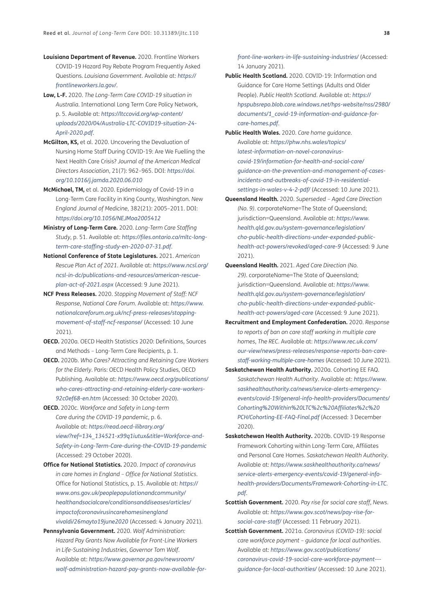- **Louisiana Department of Revenue.** 2020. Frontline Workers COVID-19 Hazard Pay Rebate Program Frequently Asked Questions. *Louisiana Government*. Available at: *https:// frontlineworkers.la.gov/*.
- **Low, L-F.** 2020. *The Long-Term Care COVID-19 situation in Australia*. International Long Term Care Policy Network, p. 5. Available at: *https://ltccovid.org/wp-content/ uploads/2020/04/Australia-LTC-COVID19-situation-24- April-2020.pdf*.
- **McGilton, KS,** et al. 2020. Uncovering the Devaluation of Nursing Home Staff During COVID-19: Are We Fuelling the Next Health Care Crisis? *Journal of the American Medical Directors Association*, 21(7): 962–965. DOI: *https://doi. org/10.1016/j.jamda.2020.06.010*
- **McMichael, TM,** et al. 2020. Epidemiology of Covid-19 in a Long-Term Care Facility in King County, Washington. *New England Journal of Medicine*, 382(21): 2005–2011. DOI: *https://doi.org/10.1056/NEJMoa2005412*
- **Ministry of Long-Term Care.** 2020. *Long-Term Care Staffing Study*, p. 51. Available at: *https://files.ontario.ca/mltc-longterm-care-staffing-study-en-2020-07-31.pdf*.
- **National Conference of State Legislatures.** 2021. *American Rescue Plan Act of 2021*. Available at: *https://www.ncsl.org/ ncsl-in-dc/publications-and-resources/american-rescueplan-act-of-2021.aspx* (Accessed: 9 June 2021).
- **NCF Press Releases.** 2020. *Stopping Movement of Staff: NCF Response*, *National Care Forum*. Available at: *https://www. nationalcareforum.org.uk/ncf-press-releases/stoppingmovement-of-staff-ncf-response/* (Accessed: 10 June 2021).
- **OECD.** 2020a. OECD Health Statistics 2020: Definitions, Sources and Methods – Long-Term Care Recipients, p. 1.
- **OECD.** 2020b. *Who Cares? Attracting and Retaining Care Workers for the Elderly*. Paris: OECD Health Policy Studies, OECD Publishing. Available at: *https://www.oecd.org/publications/ who-cares-attracting-and-retaining-elderly-care-workers-92c0ef68-en.htm* (Accessed: 30 October 2020).
- **OECD.** 2020c. *Workforce and Safety in Long-term Care during the COVID-19 pandemic*, p. 6. Available at: *https://read.oecd-ilibrary.org/ view/?ref=134\_134521-x99q1iutux&title=Workforce-and-Safety-in-Long-Term-Care-during-the-COVID-19-pandemic* (Accessed: 29 October 2020).
- **Office for National Statistics.** 2020. *Impact of coronavirus in care homes in England – Office for National Statistics*. Office for National Statistics, p. 15. Available at: *https:// www.ons.gov.uk/peoplepopulationandcommunity/ healthandsocialcare/conditionsanddiseases/articles/ impactofcoronavirusincarehomesinengland vivaldi/26mayto19june2020* (Accessed: 4 January 2021).
- **Pennsylvania Government.** 2020. *Wolf Administration: Hazard Pay Grants Now Available for Front-Line Workers in Life-Sustaining Industries*, *Governor Tom Wolf*. Available at: *https://www.governor.pa.gov/newsroom/ wolf-administration-hazard-pay-grants-now-available-for-*

*front-line-workers-in-life-sustaining-industries/* (Accessed: 14 January 2021).

- **Public Health Scotland.** 2020. COVID-19: Information and Guidance for Care Home Settings (Adults and Older People). *Public Health Scotland*. Available at: *https:// hpspubsrepo.blob.core.windows.net/hps-website/nss/2980/ documents/1\_covid-19-information-and-guidance-forcare-homes.pdf*.
- **Public Health Wales.** 2020. *Care home guidance*. Available at: *https://phw.nhs.wales/topics/ latest-information-on-novel-coronaviruscovid-19/information-for-health-and-social-care/ guidance-on-the-prevention-and-management-of-casesincidents-and-outbreaks-of-covid-19-in-residentialsettings-in-wales-v-4-2-pdf/* (Accessed: 10 June 2021).
- **Queensland Health.** 2020. *Superseded Aged Care Direction (No. 9)*. corporateName=The State of Queensland; jurisdiction=Queensland. Available at: *https://www. health.qld.gov.au/system-governance/legislation/ cho-public-health-directions-under-expanded-publichealth-act-powers/revoked/aged-care-9* (Accessed: 9 June 2021).
- **Queensland Health.** 2021. *Aged Care Direction (No. 29)*. corporateName=The State of Queensland; jurisdiction=Queensland. Available at: *https://www. health.qld.gov.au/system-governance/legislation/ cho-public-health-directions-under-expanded-publichealth-act-powers/aged-care* (Accessed: 9 June 2021).
- **Recruitment and Employment Confederation.** 2020. *Response to reports of ban on care staff working in multiple care homes*, *The REC*. Available at: *https://www.rec.uk.com/ our-view/news/press-releases/response-reports-ban-carestaff-working-multiple-care-homes* (Accessed: 10 June 2021).
- **Saskatchewan Health Authority.** 2020a. Cohorting EE FAQ. *Saskatchewan Health Authority*. Available at: *https://www. saskhealthauthority.ca/news/service-alerts-emergencyevents/covid-19/general-info-health-providers/Documents/ Cohorting%20Within%20LTC%2c%20Affiliates%2c%20 PCH/Cohorting-EE-FAQ-Final.pdf* (Accessed: 3 December 2020).
- **Saskatchewan Health Authority.** 2020b. COVID-19 Response Framework Cohorting within Long-Term Care, Affiliates and Personal Care Homes. *Saskatchewan Health Authority*. Available at: *https://www.saskhealthauthority.ca/news/ service-alerts-emergency-events/covid-19/general-infohealth-providers/Documents/Framework-Cohorting-in-LTC. pdf*.
- **Scottish Government.** 2020. *Pay rise for social care staff*, *News*. Available at: *https://www.gov.scot/news/pay-rise-forsocial-care-staff/* (Accessed: 11 February 2021).
- **Scottish Government.** 2021a. *Coronavirus (COVID-19): social care workforce payment – guidance for local authorities*. Available at: *https://www.gov.scot/publications/ coronavirus-covid-19-social-care-workforce-payment-- guidance-for-local-authorities/* (Accessed: 10 June 2021).